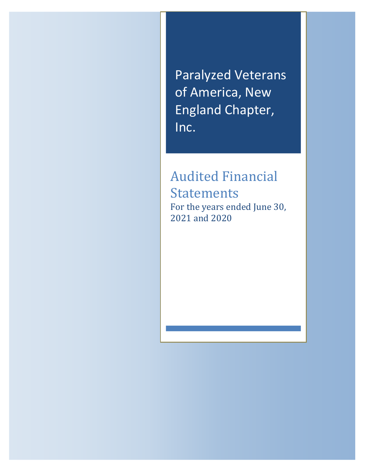**and the controlling of America, New Section 1988** Paralyzed Veterans England Chapter, Inc.

> Audited Financial Statements For the years ended June 30, 2021 and 2020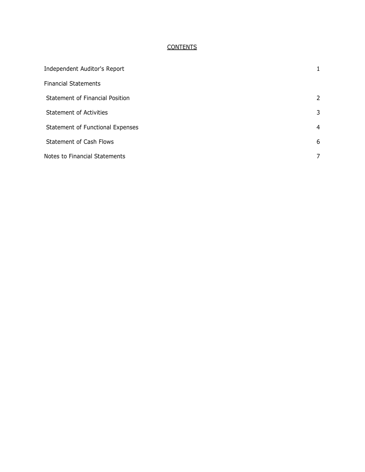# **CONTENTS**

| Independent Auditor's Report     |   |
|----------------------------------|---|
| <b>Financial Statements</b>      |   |
| Statement of Financial Position  | 2 |
| <b>Statement of Activities</b>   | 3 |
| Statement of Functional Expenses | 4 |
| <b>Statement of Cash Flows</b>   | 6 |
| Notes to Financial Statements    |   |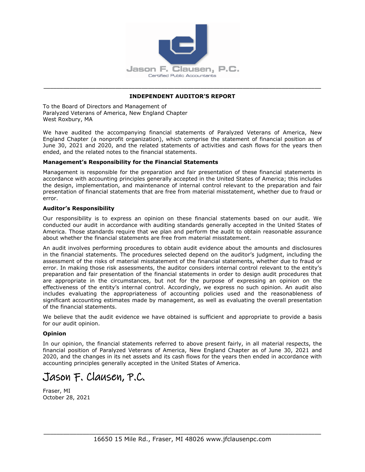

# \_\_\_\_\_\_\_\_\_\_\_\_\_\_\_\_\_\_\_\_\_\_\_\_\_\_\_\_\_\_\_\_\_\_\_\_\_\_\_\_\_\_\_\_\_\_\_\_\_\_\_\_\_\_\_\_\_\_\_\_\_\_\_\_\_\_\_\_\_\_\_\_\_\_\_\_\_\_\_\_\_\_\_\_\_ **INDEPENDENT AUDITOR'S REPORT**

To the Board of Directors and Management of Paralyzed Veterans of America, New England Chapter West Roxbury, MA

We have audited the accompanying financial statements of Paralyzed Veterans of America, New England Chapter (a nonprofit organization), which comprise the statement of financial position as of June 30, 2021 and 2020, and the related statements of activities and cash flows for the years then ended, and the related notes to the financial statements.

#### **Management's Responsibility for the Financial Statements**

Management is responsible for the preparation and fair presentation of these financial statements in accordance with accounting principles generally accepted in the United States of America; this includes the design, implementation, and maintenance of internal control relevant to the preparation and fair presentation of financial statements that are free from material misstatement, whether due to fraud or error.

#### **Auditor's Responsibility**

Our responsibility is to express an opinion on these financial statements based on our audit. We conducted our audit in accordance with auditing standards generally accepted in the United States of America. Those standards require that we plan and perform the audit to obtain reasonable assurance about whether the financial statements are free from material misstatement.

An audit involves performing procedures to obtain audit evidence about the amounts and disclosures in the financial statements. The procedures selected depend on the auditor's judgment, including the assessment of the risks of material misstatement of the financial statements, whether due to fraud or error. In making those risk assessments, the auditor considers internal control relevant to the entity's preparation and fair presentation of the financial statements in order to design audit procedures that are appropriate in the circumstances, but not for the purpose of expressing an opinion on the effectiveness of the entity's internal control. Accordingly, we express no such opinion. An audit also includes evaluating the appropriateness of accounting policies used and the reasonableness of significant accounting estimates made by management, as well as evaluating the overall presentation of the financial statements.

We believe that the audit evidence we have obtained is sufficient and appropriate to provide a basis for our audit opinion.

#### **Opinion**

In our opinion, the financial statements referred to above present fairly, in all material respects, the financial position of Paralyzed Veterans of America, New England Chapter as of June 30, 2021 and 2020, and the changes in its net assets and its cash flows for the years then ended in accordance with accounting principles generally accepted in the United States of America.

**Jason F. Clausen, P.C.**

Fraser, MI October 28, 2021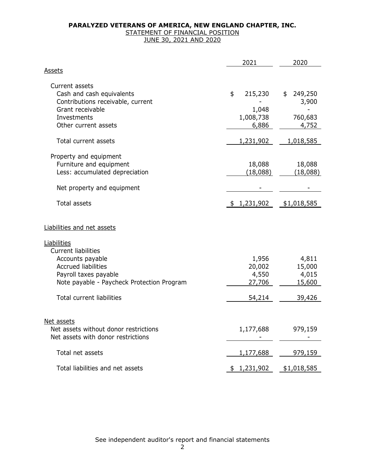### STATEMENT OF FINANCIAL POSITION JUNE 30, 2021 AND 2020

|                                                                                                                                                                                                               | 2021                                         | 2020                                         |
|---------------------------------------------------------------------------------------------------------------------------------------------------------------------------------------------------------------|----------------------------------------------|----------------------------------------------|
| <u>Assets</u>                                                                                                                                                                                                 |                                              |                                              |
| Current assets<br>Cash and cash equivalents<br>Contributions receivable, current<br>Grant receivable<br>Investments<br>Other current assets                                                                   | \$<br>215,230<br>1,048<br>1,008,738<br>6,886 | 249,250<br>\$<br>3,900<br>760,683<br>4,752   |
| Total current assets                                                                                                                                                                                          | 1,231,902                                    | 1,018,585                                    |
| Property and equipment<br>Furniture and equipment<br>Less: accumulated depreciation<br>Net property and equipment<br><b>Total assets</b>                                                                      | 18,088<br>(18,088)<br>1,231,902<br>\$        | 18,088<br>(18,088)<br>\$1,018,585            |
| Liabilities and net assets                                                                                                                                                                                    |                                              |                                              |
| <u>Liabilities</u><br><b>Current liabilities</b><br>Accounts payable<br><b>Accrued liabilities</b><br>Payroll taxes payable<br>Note payable - Paycheck Protection Program<br><b>Total current liabilities</b> | 1,956<br>20,002<br>4,550<br>27,706<br>54,214 | 4,811<br>15,000<br>4,015<br>15,600<br>39,426 |
| Net assets<br>Net assets without donor restrictions<br>Net assets with donor restrictions                                                                                                                     | 1,177,688                                    | 979,159                                      |
| Total net assets                                                                                                                                                                                              | 1,177,688                                    | 979,159                                      |
| Total liabilities and net assets                                                                                                                                                                              | \$1,231,902                                  | \$1,018,585                                  |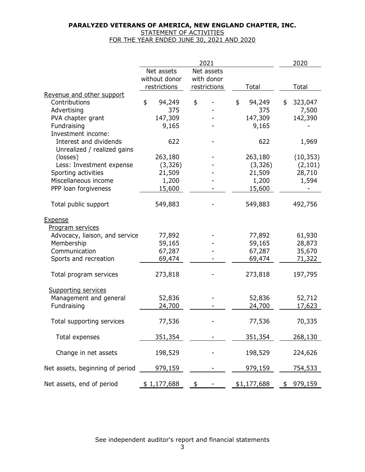## STATEMENT OF ACTIVITIES FOR THE YEAR ENDED JUNE 30, 2021 AND 2020

|                                 |               | 2021         |              | 2020          |
|---------------------------------|---------------|--------------|--------------|---------------|
|                                 | Net assets    | Net assets   |              |               |
|                                 | without donor | with donor   |              |               |
|                                 | restrictions  | restrictions | Total        | Total         |
| Revenue and other support       |               |              |              |               |
| Contributions                   | \$<br>94,249  | \$           | 94,249<br>\$ | 323,047<br>\$ |
| Advertising                     | 375           |              | 375          | 7,500         |
| PVA chapter grant               | 147,309       |              | 147,309      | 142,390       |
| Fundraising                     | 9,165         |              | 9,165        |               |
| Investment income:              |               |              |              |               |
| Interest and dividends          | 622           |              | 622          | 1,969         |
| Unrealized / realized gains     |               |              |              |               |
| (losses)                        | 263,180       |              | 263,180      | (10, 353)     |
| Less: Investment expense        | (3, 326)      |              | (3, 326)     | (2, 101)      |
| Sporting activities             | 21,509        |              | 21,509       | 28,710        |
| Miscellaneous income            | 1,200         |              | 1,200        | 1,594         |
| PPP loan forgiveness            | 15,600        |              | 15,600       |               |
|                                 |               |              |              |               |
| Total public support            | 549,883       |              | 549,883      | 492,756       |
| <b>Expense</b>                  |               |              |              |               |
| Program services                |               |              |              |               |
| Advocacy, liaison, and service  | 77,892        |              | 77,892       | 61,930        |
| Membership                      | 59,165        |              | 59,165       | 28,873        |
| Communication                   | 67,287        |              | 67,287       | 35,670        |
|                                 |               |              |              |               |
| Sports and recreation           | 69,474        |              | 69,474       | 71,322        |
| Total program services          | 273,818       |              | 273,818      | 197,795       |
| Supporting services             |               |              |              |               |
| Management and general          | 52,836        |              | 52,836       | 52,712        |
| Fundraising                     | 24,700        |              | 24,700       | 17,623        |
|                                 |               |              |              |               |
| Total supporting services       | 77,536        |              | 77,536       | 70,335        |
|                                 |               |              |              |               |
| Total expenses                  | 351,354       |              | 351,354      | 268,130       |
|                                 |               |              |              |               |
| Change in net assets            | 198,529       |              | 198,529      | 224,626       |
|                                 |               |              |              |               |
| Net assets, beginning of period | 979,159       |              | 979,159      | 754,533       |
| Net assets, end of period       | \$1,177,688   | \$           | \$1,177,688  | \$979,159     |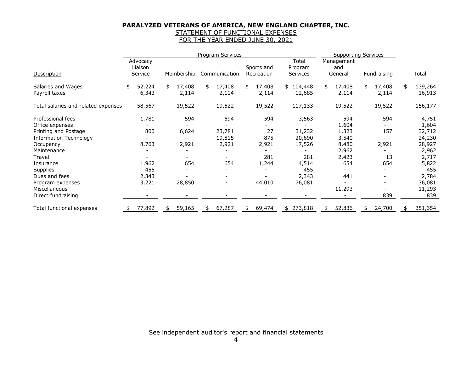# STATEMENT OF FUNCTIONAL EXPENSES

FOR THE YEAR ENDED JUNE 30, 2021

|                                     | Program Services |              |                          |              |               | <b>Supporting Services</b> |                          |         |
|-------------------------------------|------------------|--------------|--------------------------|--------------|---------------|----------------------------|--------------------------|---------|
|                                     | Advocacy         |              |                          |              | Total         | Management                 |                          |         |
|                                     | Liaison          |              |                          | Sports and   | Program       | and                        |                          |         |
| Description                         | Service          | Membership   | Communication            | Recreation   | Services      | General                    | Fundraising              | Total   |
| Salaries and Wages                  | 52,224<br>\$     | 17,408<br>\$ | 17,408<br>\$             | 17,408<br>\$ | 104,448<br>\$ | 17,408<br>\$               | 17,408<br>\$             | 139,264 |
| Payroll taxes                       | 6,343            | 2,114        | 2,114                    | 2,114        | 12,685        | 2,114                      | 2,114                    | 16,913  |
| Total salaries and related expenses | 58,567           | 19,522       | 19,522                   | 19,522       | 117,133       | 19,522                     | 19,522                   | 156,177 |
| Professional fees                   | 1,781            | 594          | 594                      | 594          | 3,563         | 594                        | 594                      | 4,751   |
| Office expenses                     |                  |              |                          |              |               | 1,604                      |                          | 1,604   |
| Printing and Postage                | 800              | 6,624        | 23,781                   | 27           | 31,232        | 1,323                      | 157                      | 32,712  |
| <b>Information Technology</b>       |                  |              | 19,815                   | 875          | 20,690        | 3,540                      |                          | 24,230  |
| Occupancy                           | 8,763            | 2,921        | 2,921                    | 2,921        | 17,526        | 8,480                      | 2,921                    | 28,927  |
| Maintenance                         |                  |              |                          |              |               | 2,962                      |                          | 2,962   |
| Travel                              |                  |              |                          | 281          | 281           | 2,423                      | 13                       | 2,717   |
| Insurance                           | 1,962            | 654          | 654                      | 1,244        | 4,514         | 654                        | 654                      | 5,822   |
| Supplies                            | 455              |              |                          |              | 455           |                            |                          | 455     |
| Dues and fees                       | 2,343            |              |                          |              | 2,343         | 441                        |                          | 2,784   |
| Program expenses                    | 3,221            | 28,850       | $\overline{\phantom{a}}$ | 44,010       | 76,081        |                            | $\overline{\phantom{a}}$ | 76,081  |
| Miscellaneous                       |                  |              |                          |              |               | 11,293                     | $\overline{\phantom{a}}$ | 11,293  |
| Direct fundraising                  |                  |              |                          |              |               |                            | 839                      | 839     |
| Total functional expenses           | 77,892           | 59,165<br>\$ | 67,287<br>\$             | 69,474<br>\$ | 273,818<br>\$ | 52,836<br>\$               | 24,700<br>\$             | 351,354 |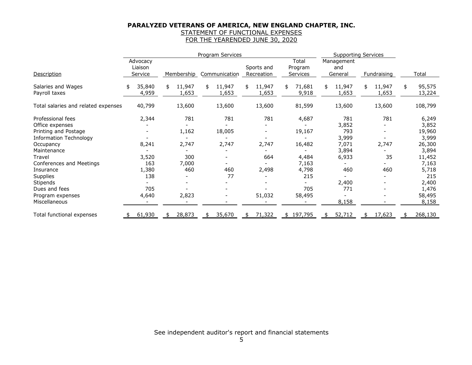# STATEMENT OF FUNCTIONAL EXPENSES

FOR THE YEARENDED JUNE 30, 2020

|                                     | Program Services |                     |    |                 |    | <b>Supporting Services</b> |                       |                       |    |                   |    |                 |                        |
|-------------------------------------|------------------|---------------------|----|-----------------|----|----------------------------|-----------------------|-----------------------|----|-------------------|----|-----------------|------------------------|
|                                     |                  | Advocacy<br>Liaison |    |                 |    |                            | Sports and            | Total<br>Program      |    | Management<br>and |    |                 |                        |
| Description                         |                  | Service             |    | Membership      |    | Communication              | Recreation            | Services              |    | General           |    | Fundraising     | Total                  |
| Salaries and Wages<br>Payroll taxes | \$               | 35,840<br>4,959     | \$ | 11,947<br>1,653 | \$ | 11,947<br>1,653            | \$<br>11,947<br>1,653 | \$<br>71,681<br>9,918 | \$ | 11,947<br>1,653   | \$ | 11,947<br>1,653 | \$<br>95,575<br>13,224 |
| Total salaries and related expenses |                  | 40,799              |    | 13,600          |    | 13,600                     | 13,600                | 81,599                |    | 13,600            |    | 13,600          | 108,799                |
| Professional fees                   |                  | 2,344               |    | 781             |    | 781                        | 781                   | 4,687                 |    | 781               |    | 781             | 6,249                  |
| Office expenses                     |                  |                     |    |                 |    |                            |                       |                       |    | 3,852             |    |                 | 3,852                  |
| Printing and Postage                |                  |                     |    | 1,162           |    | 18,005                     |                       | 19,167                |    | 793               |    |                 | 19,960                 |
| <b>Information Technology</b>       |                  |                     |    |                 |    |                            |                       |                       |    | 3,999             |    |                 | 3,999                  |
| Occupancy                           |                  | 8,241               |    | 2,747           |    | 2,747                      | 2,747                 | 16,482                |    | 7,071             |    | 2,747           | 26,300                 |
| Maintenance                         |                  |                     |    |                 |    |                            |                       |                       |    | 3,894             |    |                 | 3,894                  |
| Travel                              |                  | 3,520               |    | 300             |    |                            | 664                   | 4,484                 |    | 6,933             |    | 35              | 11,452                 |
| Conferences and Meetings            |                  | 163                 |    | 7,000           |    |                            |                       | 7,163                 |    |                   |    |                 | 7,163                  |
| Insurance                           |                  | 1,380               |    | 460             |    | 460                        | 2,498                 | 4,798                 |    | 460               |    | 460             | 5,718                  |
| <b>Supplies</b>                     |                  | 138                 |    |                 |    | 77                         |                       | 215                   |    |                   |    |                 | 215                    |
| Stipends                            |                  |                     |    |                 |    |                            |                       |                       |    | 2,400             |    |                 | 2,400                  |
| Dues and fees                       |                  | 705                 |    |                 |    |                            |                       | 705                   |    | 771               |    |                 | 1,476                  |
| Program expenses                    |                  | 4,640               |    | 2,823           |    |                            | 51,032                | 58,495                |    |                   |    |                 | 58,495                 |
| Miscellaneous                       |                  |                     |    |                 |    |                            |                       |                       |    | 8,158             |    |                 | 8,158                  |
| Total functional expenses           | \$.              | 61,930              | \$ | 28,873          | \$ | 35,670                     | \$<br>71,322          | \$197,795             | \$ | 52,712            | \$ | 17,623          | 268,130                |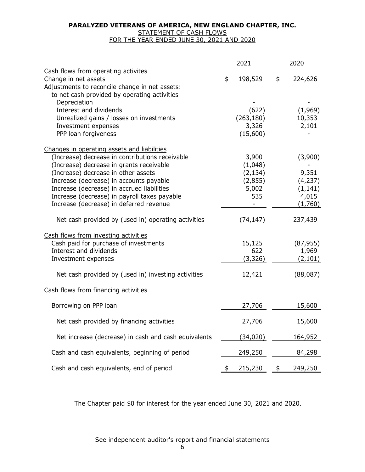# STATEMENT OF CASH FLOWS

FOR THE YEAR ENDED JUNE 30, 2021 AND 2020

|                                                                                                                                                                                                                                                                                                                                                                       | 2021                                                                 | 2020 |                                                              |  |  |
|-----------------------------------------------------------------------------------------------------------------------------------------------------------------------------------------------------------------------------------------------------------------------------------------------------------------------------------------------------------------------|----------------------------------------------------------------------|------|--------------------------------------------------------------|--|--|
| Cash flows from operating activites<br>Change in net assets<br>Adjustments to reconcile change in net assets:<br>to net cash provided by operating activities                                                                                                                                                                                                         | \$<br>198,529                                                        | \$   | 224,626                                                      |  |  |
| Depreciation<br>Interest and dividends<br>Unrealized gains / losses on investments<br>Investment expenses<br>PPP loan forgiveness                                                                                                                                                                                                                                     | (622)<br>(263, 180)<br>3,326<br>(15,600)                             |      | (1,969)<br>10,353<br>2,101                                   |  |  |
| Changes in operating assets and liabilities<br>(Increase) decrease in contributions receivable<br>(Increase) decrease in grants receivable<br>(Increase) decrease in other assets<br>Increase (decrease) in accounts payable<br>Increase (decrease) in accrued liabilities<br>Increase (decrease) in payroll taxes payable<br>Increase (decrease) in deferred revenue | 3,900<br>(1,048)<br>(2, 134)<br>(2,855)<br>5,002<br>535<br>(74, 147) |      | (3,900)<br>9,351<br>(4, 237)<br>(1, 141)<br>4,015<br>(1,760) |  |  |
| Net cash provided by (used in) operating activities                                                                                                                                                                                                                                                                                                                   |                                                                      |      | 237,439                                                      |  |  |
| Cash flows from investing activities<br>Cash paid for purchase of investments<br>Interest and dividends<br>Investment expenses<br>Net cash provided by (used in) investing activities                                                                                                                                                                                 | 15,125<br>622<br>(3, 326)<br>12,421                                  |      | (87, 955)<br>1,969<br>(2, 101)<br>(88, 087)                  |  |  |
| Cash flows from financing activities                                                                                                                                                                                                                                                                                                                                  |                                                                      |      |                                                              |  |  |
| Borrowing on PPP loan                                                                                                                                                                                                                                                                                                                                                 | 27,706                                                               |      | 15,600                                                       |  |  |
| Net cash provided by financing activities                                                                                                                                                                                                                                                                                                                             | 27,706                                                               |      | 15,600                                                       |  |  |
| Net increase (decrease) in cash and cash equivalents                                                                                                                                                                                                                                                                                                                  | (34, 020)                                                            |      | 164,952                                                      |  |  |
| Cash and cash equivalents, beginning of period                                                                                                                                                                                                                                                                                                                        | 249,250                                                              |      | 84,298                                                       |  |  |
| Cash and cash equivalents, end of period                                                                                                                                                                                                                                                                                                                              | 215,230                                                              | \$   | 249,250                                                      |  |  |

The Chapter paid \$0 for interest for the year ended June 30, 2021 and 2020.

See independent auditor's report and financial statements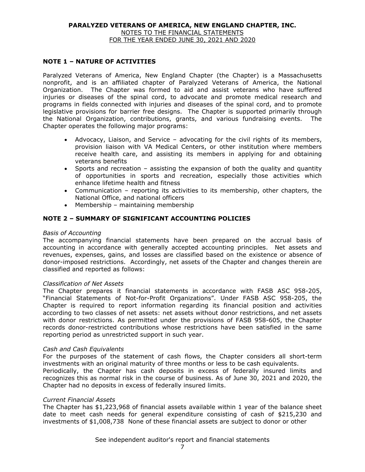## **NOTE 1 – NATURE OF ACTIVITIES**

Paralyzed Veterans of America, New England Chapter (the Chapter) is a Massachusetts nonprofit, and is an affiliated chapter of Paralyzed Veterans of America, the National Organization. The Chapter was formed to aid and assist veterans who have suffered injuries or diseases of the spinal cord, to advocate and promote medical research and programs in fields connected with injuries and diseases of the spinal cord, and to promote legislative provisions for barrier free designs. The Chapter is supported primarily through the National Organization, contributions, grants, and various fundraising events. The Chapter operates the following major programs:

- Advocacy, Liaison, and Service advocating for the civil rights of its members, provision liaison with VA Medical Centers, or other institution where members receive health care, and assisting its members in applying for and obtaining veterans benefits
- Sports and recreation assisting the expansion of both the quality and quantity of opportunities in sports and recreation, especially those activities which enhance lifetime health and fitness
- Communication reporting its activities to its membership, other chapters, the National Office, and national officers
- $\bullet$  Membership maintaining membership

# **NOTE 2 – SUMMARY OF SIGNIFICANT ACCOUNTING POLICIES**

#### *Basis of Accounting*

The accompanying financial statements have been prepared on the accrual basis of accounting in accordance with generally accepted accounting principles. Net assets and revenues, expenses, gains, and losses are classified based on the existence or absence of donor-imposed restrictions. Accordingly, net assets of the Chapter and changes therein are classified and reported as follows:

### *Classification of Net Assets*

The Chapter prepares it financial statements in accordance with FASB ASC 958-205, "Financial Statements of Not-for-Profit Organizations". Under FASB ASC 958-205, the Chapter is required to report information regarding its financial position and activities according to two classes of net assets: net assets without donor restrictions, and net assets with donor restrictions. As permitted under the provisions of FASB 958-605, the Chapter records donor-restricted contributions whose restrictions have been satisfied in the same reporting period as unrestricted support in such year.

#### *Cash and Cash Equivalents*

For the purposes of the statement of cash flows, the Chapter considers all short-term investments with an original maturity of three months or less to be cash equivalents. Periodically, the Chapter has cash deposits in excess of federally insured limits and recognizes this as normal risk in the course of business. As of June 30, 2021 and 2020, the Chapter had no deposits in excess of federally insured limits.

### *Current Financial Assets*

The Chapter has \$1,223,968 of financial assets available within 1 year of the balance sheet date to meet cash needs for general expenditure consisting of cash of \$215,230 and investments of \$1,008,738 None of these financial assets are subject to donor or other

See independent auditor's report and financial statements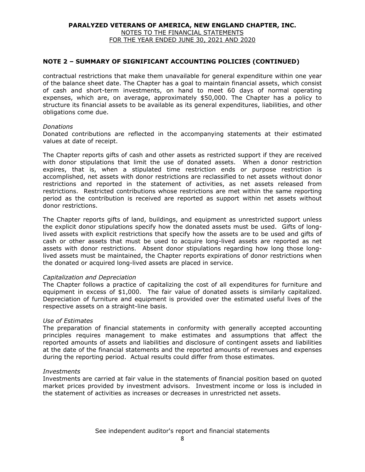## **NOTE 2 – SUMMARY OF SIGNIFICANT ACCOUNTING POLICIES (CONTINUED)**

contractual restrictions that make them unavailable for general expenditure within one year of the balance sheet date. The Chapter has a goal to maintain financial assets, which consist of cash and short-term investments, on hand to meet 60 days of normal operating expenses, which are, on average, approximately \$50,000. The Chapter has a policy to structure its financial assets to be available as its general expenditures, liabilities, and other obligations come due.

#### *Donations*

Donated contributions are reflected in the accompanying statements at their estimated values at date of receipt.

The Chapter reports gifts of cash and other assets as restricted support if they are received with donor stipulations that limit the use of donated assets. When a donor restriction expires, that is, when a stipulated time restriction ends or purpose restriction is accomplished, net assets with donor restrictions are reclassified to net assets without donor restrictions and reported in the statement of activities, as net assets released from restrictions. Restricted contributions whose restrictions are met within the same reporting period as the contribution is received are reported as support within net assets without donor restrictions.

The Chapter reports gifts of land, buildings, and equipment as unrestricted support unless the explicit donor stipulations specify how the donated assets must be used. Gifts of longlived assets with explicit restrictions that specify how the assets are to be used and gifts of cash or other assets that must be used to acquire long-lived assets are reported as net assets with donor restrictions. Absent donor stipulations regarding how long those longlived assets must be maintained, the Chapter reports expirations of donor restrictions when the donated or acquired long-lived assets are placed in service.

### *Capitalization and Depreciation*

The Chapter follows a practice of capitalizing the cost of all expenditures for furniture and equipment in excess of \$1,000. The fair value of donated assets is similarly capitalized. Depreciation of furniture and equipment is provided over the estimated useful lives of the respective assets on a straight-line basis.

#### *Use of Estimates*

The preparation of financial statements in conformity with generally accepted accounting principles requires management to make estimates and assumptions that affect the reported amounts of assets and liabilities and disclosure of contingent assets and liabilities at the date of the financial statements and the reported amounts of revenues and expenses during the reporting period. Actual results could differ from those estimates.

#### *Investments*

Investments are carried at fair value in the statements of financial position based on quoted market prices provided by investment advisors. Investment income or loss is included in the statement of activities as increases or decreases in unrestricted net assets.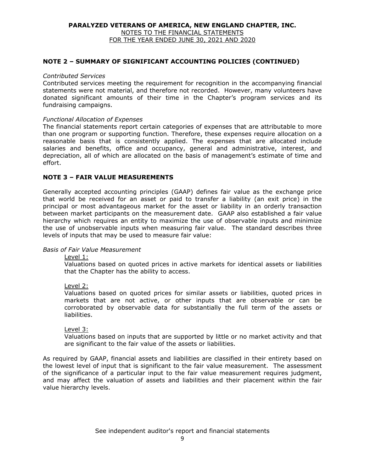#### **NOTE 2 – SUMMARY OF SIGNIFICANT ACCOUNTING POLICIES (CONTINUED)**

#### *Contributed Services*

Contributed services meeting the requirement for recognition in the accompanying financial statements were not material, and therefore not recorded. However, many volunteers have donated significant amounts of their time in the Chapter's program services and its fundraising campaigns.

#### *Functional Allocation of Expenses*

The financial statements report certain categories of expenses that are attributable to more than one program or supporting function. Therefore, these expenses require allocation on a reasonable basis that is consistently applied. The expenses that are allocated include salaries and benefits, office and occupancy, general and administrative, interest, and depreciation, all of which are allocated on the basis of management's estimate of time and effort.

#### **NOTE 3 – FAIR VALUE MEASUREMENTS**

Generally accepted accounting principles (GAAP) defines fair value as the exchange price that world be received for an asset or paid to transfer a liability (an exit price) in the principal or most advantageous market for the asset or liability in an orderly transaction between market participants on the measurement date. GAAP also established a fair value hierarchy which requires an entity to maximize the use of observable inputs and minimize the use of unobservable inputs when measuring fair value. The standard describes three levels of inputs that may be used to measure fair value:

#### *Basis of Fair Value Measurement*

Level 1:

Valuations based on quoted prices in active markets for identical assets or liabilities that the Chapter has the ability to access.

#### Level 2:

Valuations based on quoted prices for similar assets or liabilities, quoted prices in markets that are not active, or other inputs that are observable or can be corroborated by observable data for substantially the full term of the assets or liabilities.

#### Level 3:

Valuations based on inputs that are supported by little or no market activity and that are significant to the fair value of the assets or liabilities.

As required by GAAP, financial assets and liabilities are classified in their entirety based on the lowest level of input that is significant to the fair value measurement. The assessment of the significance of a particular input to the fair value measurement requires judgment, and may affect the valuation of assets and liabilities and their placement within the fair value hierarchy levels.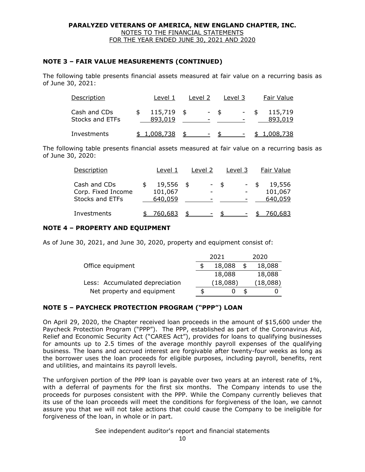# **NOTE 3 – FAIR VALUE MEASUREMENTS (CONTINUED)**

The following table presents financial assets measured at fair value on a recurring basis as of June 30, 2021:

| Description                            | Level 1            |      | Level 2 |      | Level 3 | Fair Value         |
|----------------------------------------|--------------------|------|---------|------|---------|--------------------|
| Cash and CDs<br><b>Stocks and ETFs</b> | 115,719<br>893,019 | - \$ |         | - \$ |         | 115,719<br>893,019 |
| Investments                            | 1,008,738          |      | $\sim$  |      |         | <u>1,008,738</u>   |

The following table presents financial assets measured at fair value on a recurring basis as of June 30, 2020:

| Description                                           | Level 1                      |      | Level 2 |               | Level 3 | Fair Value                   |
|-------------------------------------------------------|------------------------------|------|---------|---------------|---------|------------------------------|
| Cash and CDs<br>Corp. Fixed Income<br>Stocks and ETFs | 19,556<br>101,067<br>640,059 | - \$ | - \$    |               | $-$ \$  | 19,556<br>101,067<br>640,059 |
| Investments                                           | 760,683                      |      | ۰.      | $\mathcal{F}$ |         | 760,683                      |

### **NOTE 4 – PROPERTY AND EQUIPMENT**

As of June 30, 2021, and June 30, 2020, property and equipment consist of:

|                                | 2021     |   | 2020     |
|--------------------------------|----------|---|----------|
| Office equipment               | 18,088   |   | 18,088   |
|                                | 18,088   |   | 18,088   |
| Less: Accumulated depreciation | (18,088) |   | (18,088) |
| Net property and equipment     |          | Æ |          |

# **NOTE 5 – PAYCHECK PROTECTION PROGRAM ("PPP") LOAN**

On April 29, 2020, the Chapter received loan proceeds in the amount of \$15,600 under the Paycheck Protection Program ("PPP"). The PPP, established as part of the Coronavirus Aid, Relief and Economic Security Act ("CARES Act"), provides for loans to qualifying businesses for amounts up to 2.5 times of the average monthly payroll expenses of the qualifying business. The loans and accrued interest are forgivable after twenty-four weeks as long as the borrower uses the loan proceeds for eligible purposes, including payroll, benefits, rent and utilities, and maintains its payroll levels.

The unforgiven portion of the PPP loan is payable over two years at an interest rate of 1%, with a deferral of payments for the first six months. The Company intends to use the proceeds for purposes consistent with the PPP. While the Company currently believes that its use of the loan proceeds will meet the conditions for forgiveness of the loan, we cannot assure you that we will not take actions that could cause the Company to be ineligible for forgiveness of the loan, in whole or in part.

### See independent auditor's report and financial statements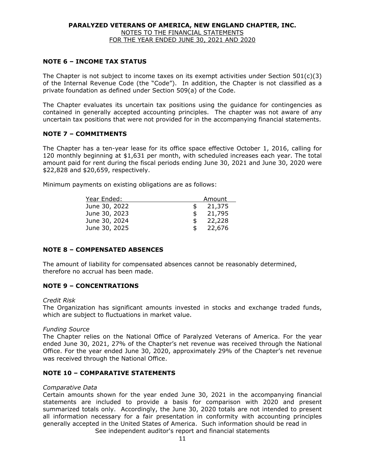## **NOTE 6 – INCOME TAX STATUS**

The Chapter is not subject to income taxes on its exempt activities under Section  $501(c)(3)$ of the Internal Revenue Code (the "Code"). In addition, the Chapter is not classified as a private foundation as defined under Section 509(a) of the Code.

The Chapter evaluates its uncertain tax positions using the guidance for contingencies as contained in generally accepted accounting principles. The chapter was not aware of any uncertain tax positions that were not provided for in the accompanying financial statements.

### **NOTE 7 – COMMITMENTS**

The Chapter has a ten-year lease for its office space effective October 1, 2016, calling for 120 monthly beginning at \$1,631 per month, with scheduled increases each year. The total amount paid for rent during the fiscal periods ending June 30, 2021 and June 30, 2020 were \$22,828 and \$20,659, respectively.

Minimum payments on existing obligations are as follows:

| Year Ended:   | Amount       |
|---------------|--------------|
| June 30, 2022 | 21,375       |
| June 30, 2023 | \$<br>21,795 |
| June 30, 2024 | \$<br>22,228 |
| June 30, 2025 | \$<br>22,676 |

### **NOTE 8 – COMPENSATED ABSENCES**

The amount of liability for compensated absences cannot be reasonably determined, therefore no accrual has been made.

# **NOTE 9 – CONCENTRATIONS**

#### *Credit Risk*

The Organization has significant amounts invested in stocks and exchange traded funds, which are subject to fluctuations in market value.

### *Funding Source*

The Chapter relies on the National Office of Paralyzed Veterans of America. For the year ended June 30, 2021, 27% of the Chapter's net revenue was received through the National Office. For the year ended June 30, 2020, approximately 29% of the Chapter's net revenue was received through the National Office.

### **NOTE 10 – COMPARATIVE STATEMENTS**

#### *Comparative Data*

See independent auditor's report and financial statements Certain amounts shown for the year ended June 30, 2021 in the accompanying financial statements are included to provide a basis for comparison with 2020 and present summarized totals only. Accordingly, the June 30, 2020 totals are not intended to present all information necessary for a fair presentation in conformity with accounting principles generally accepted in the United States of America. Such information should be read in